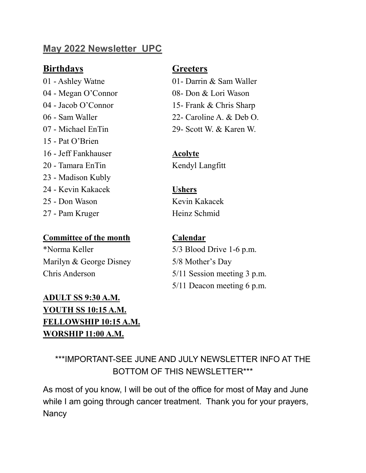# **May 2022 Newsletter UPC**

# **Birthdays Greeters**

15 - Pat O'Brien 16 - Jeff Fankhauser **Acolyte** 20 - Tamara EnTin Kendyl Langfitt 23 - Madison Kubly 24 - Kevin Kakacek **Ushers** 25 - Don Wason Kevin Kakacek 27 - Pam Kruger Heinz Schmid

## **Committee of the month Calendar**

\*Norma Keller 5/3 Blood Drive 1-6 p.m. Marilyn & George Disney 5/8 Mother's Day

# **ADULT SS 9:30 A.M. YOUTH SS 10:15 A.M. FELLOWSHIP 10:15 A.M. WORSHIP 11:00 A.M.**

01 - Ashley Watne 01- Darrin & Sam Waller 04 - Megan O'Connor 08- Don & Lori Wason 04 - Jacob O'Connor 15- Frank & Chris Sharp 06 - Sam Waller 22- Caroline A. & Deb O. 07 - Michael EnTin 29- Scott W. & Karen W.

Chris Anderson 5/11 Session meeting 3 p.m. 5/11 Deacon meeting 6 p.m.

# \*\*\*IMPORTANT-SEE JUNE AND JULY NEWSLETTER INFO AT THE BOTTOM OF THIS NEWSLETTER\*\*\*

As most of you know, I will be out of the office for most of May and June while I am going through cancer treatment. Thank you for your prayers, **Nancy**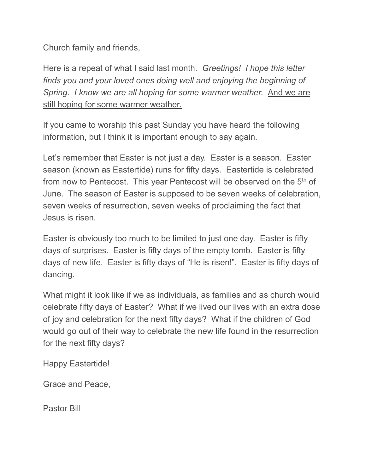Church family and friends,

Here is a repeat of what I said last month. *Greetings! I hope this letter finds you and your loved ones doing well and enjoying the beginning of Spring. I know we are all hoping for some warmer weather.* And we are still hoping for some warmer weather.

If you came to worship this past Sunday you have heard the following information, but I think it is important enough to say again.

Let's remember that Easter is not just a day. Easter is a season. Easter season (known as Eastertide) runs for fifty days. Eastertide is celebrated from now to Pentecost. This year Pentecost will be observed on the 5<sup>th</sup> of June. The season of Easter is supposed to be seven weeks of celebration, seven weeks of resurrection, seven weeks of proclaiming the fact that Jesus is risen.

Easter is obviously too much to be limited to just one day. Easter is fifty days of surprises. Easter is fifty days of the empty tomb. Easter is fifty days of new life. Easter is fifty days of "He is risen!". Easter is fifty days of dancing.

What might it look like if we as individuals, as families and as church would celebrate fifty days of Easter? What if we lived our lives with an extra dose of joy and celebration for the next fifty days? What if the children of God would go out of their way to celebrate the new life found in the resurrection for the next fifty days?

Happy Eastertide!

Grace and Peace,

Pastor Bill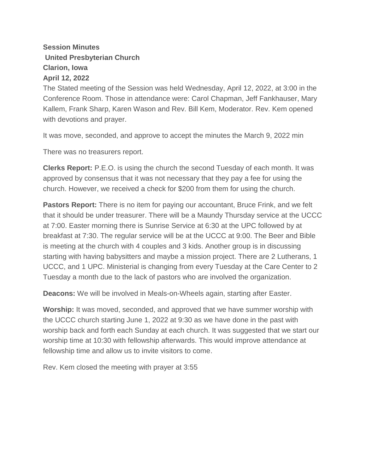## **Session Minutes United Presbyterian Church Clarion, Iowa April 12, 2022**

The Stated meeting of the Session was held Wednesday, April 12, 2022, at 3:00 in the Conference Room. Those in attendance were: Carol Chapman, Jeff Fankhauser, Mary Kallem, Frank Sharp, Karen Wason and Rev. Bill Kem, Moderator. Rev. Kem opened with devotions and prayer.

It was move, seconded, and approve to accept the minutes the March 9, 2022 min

There was no treasurers report.

**Clerks Report:** P.E.O. is using the church the second Tuesday of each month. It was approved by consensus that it was not necessary that they pay a fee for using the church. However, we received a check for \$200 from them for using the church.

**Pastors Report:** There is no item for paying our accountant, Bruce Frink, and we felt that it should be under treasurer. There will be a Maundy Thursday service at the UCCC at 7:00. Easter morning there is Sunrise Service at 6:30 at the UPC followed by at breakfast at 7:30. The regular service will be at the UCCC at 9:00. The Beer and Bible is meeting at the church with 4 couples and 3 kids. Another group is in discussing starting with having babysitters and maybe a mission project. There are 2 Lutherans, 1 UCCC, and 1 UPC. Ministerial is changing from every Tuesday at the Care Center to 2 Tuesday a month due to the lack of pastors who are involved the organization.

**Deacons:** We will be involved in Meals-on-Wheels again, starting after Easter.

**Worship:** It was moved, seconded, and approved that we have summer worship with the UCCC church starting June 1, 2022 at 9:30 as we have done in the past with worship back and forth each Sunday at each church. It was suggested that we start our worship time at 10:30 with fellowship afterwards. This would improve attendance at fellowship time and allow us to invite visitors to come.

Rev. Kem closed the meeting with prayer at 3:55